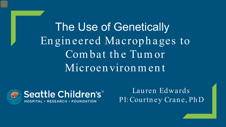The Use of Genetically Engineered Macrophages to Combat the Tumor Microenvironment



Lauren Edwards PI: Courtney Crane, PhD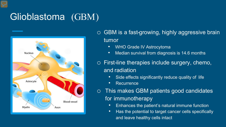## Glioblastoma (GBM)



o GBM is a fast-growing, highly aggressive brain tumor

- WHO Grade IV Astrocytoma
- Median survival from diagnosis is 14.6 months

o First-line therapies include surgery, chemo, and radiation

- Side effects significantly reduce quality of life
- **Recurrence**
- o This makes GBM patients good candidates for immunotherapy
	- Enhances the patient's natural immune function
	- Has the potential to target cancer cells specifically and leave healthy cells intact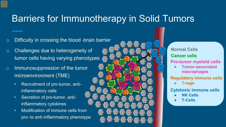## Barriers for Immunotherapy in Solid Tumors

- $\circ$  Difficulty in crossing the blood -brain barrier
- o Challenges due to heterogeneity of tumor cells having varying phenotypes
- o Immunosuppression of the tumor microenvironment (TME)
	- Recruitment of pro-tumor, antiinflammatory cells
	- Secretion of pro-tumor, antiinflammatory cytokines
	- Modification of immune cells from pro- to anti-inflammatory phenotype

**Cancer cells Normal Cells**

#### **Pro-tumor myeloid cells**

● **Tumor-associated macrophages**

**Regulatory immune cells**

● **T-regs**

**Cytotoxic immune cells** 

- **NK Cells**
- **T-Cells**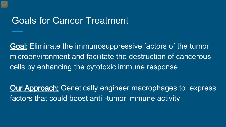## Goals for Cancer Treatment

Goal: Eliminate the immunosuppressive factors of the tumor microenvironment and facilitate the destruction of cancerous cells by enhancing the cytotoxic immune response

**Our Approach:** Genetically engineer macrophages to express factors that could boost anti -tumor immune activity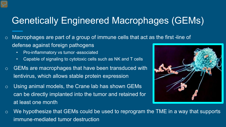## Genetically Engineered Macrophages (GEMs)

- o Macrophages are part of a group of immune cells that act as the first -line of defense against foreign pathogens
	- Pro-inflammatory vs tumor -associated
	- Capable of signaling to cytotoxic cells such as NK and T cells
- o GEMs are macrophages that have been transduced with lentivirus, which allows stable protein expression
- o Using animal models, the Crane lab has shown GEMs can be directly implanted into the tumor and retained for at least one month



 $\circ$  We hypothesize that GEMs could be used to reprogram the TME in a way that supports immune-mediated tumor destruction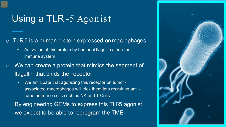# Using a TLR-5 Agon ist

 $\circ$  TLR-5 is a human protein expressed on macrophages

- Activation of this protein by bacterial flagellin alerts the immune system
- o We can create a protein that mimics the segment of flagellin that binds the receptor
	- We anticipate that agonizing this receptor on tumor associated macrophages will trick them into recruiting anti tumor immune cells such as NK and T-Cells
- $\circ$  By engineering GEMs to express this TLR5 agonist, we expect to be able to reprogram the TME

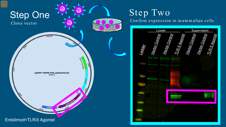

# Step Two

Confirm expression in mammalian cells

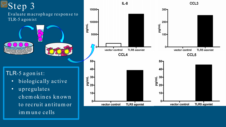## Step 3 Evaluate m acrophage response to TLR-5 agonist

## TLR-5 agonist:

- biologically active
- upregulates chemokines known to recruit antitumor im m une cells

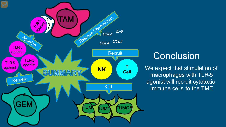## **Conclusion**

We expect that stimulation of macrophages with TLR-5 agonist will recruit cytotoxic immune cells to the TME